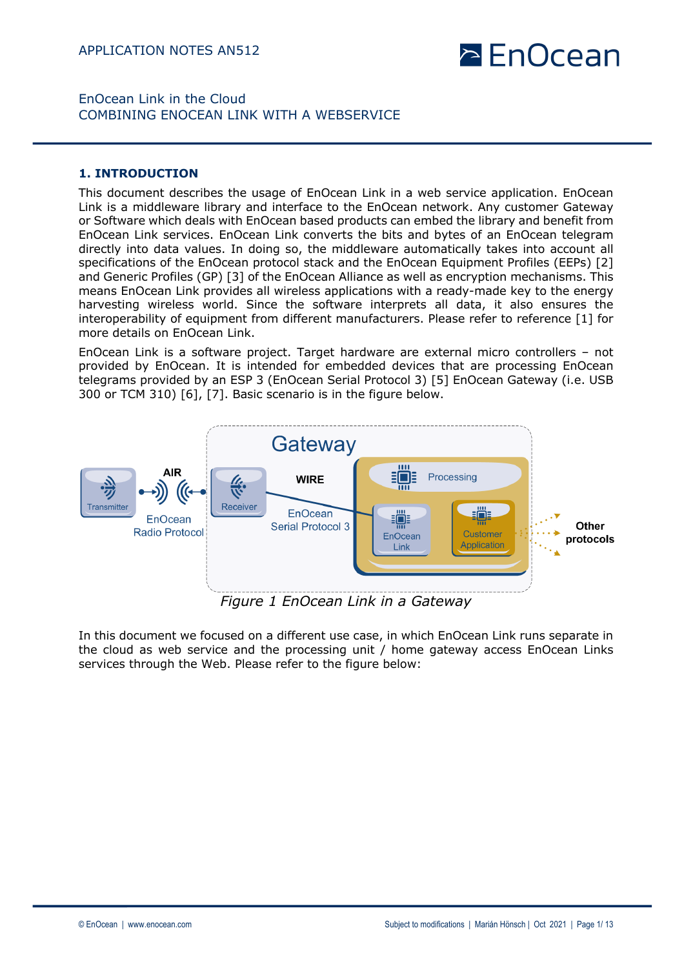# **PEnOcean**

## EnOcean Link in the Cloud COMBINING ENOCEAN LINK WITH A WEBSERVICE

#### **1. INTRODUCTION**

This document describes the usage of EnOcean Link in a web service application. EnOcean Link is a middleware library and interface to the EnOcean network. Any customer Gateway or Software which deals with EnOcean based products can embed the library and benefit from EnOcean Link services. EnOcean Link converts the bits and bytes of an EnOcean telegram directly into data values. In doing so, the middleware automatically takes into account all specifications of the EnOcean protocol stack and the EnOcean Equipment Profiles (EEPs) [2] and Generic Profiles (GP) [3] of the EnOcean Alliance as well as encryption mechanisms. This means EnOcean Link provides all wireless applications with a ready-made key to the energy harvesting wireless world. Since the software interprets all data, it also ensures the interoperability of equipment from different manufacturers. Please refer to reference [1] for more details on EnOcean Link.

EnOcean Link is a software project. Target hardware are external micro controllers – not provided by EnOcean. It is intended for embedded devices that are processing EnOcean telegrams provided by an ESP 3 (EnOcean Serial Protocol 3) [5] EnOcean Gateway (i.e. USB 300 or TCM 310) [6], [7]. Basic scenario is in the figure below.



*Figure 1 EnOcean Link in a Gateway*

In this document we focused on a different use case, in which EnOcean Link runs separate in the cloud as web service and the processing unit / home gateway access EnOcean Links services through the Web. Please refer to the figure below: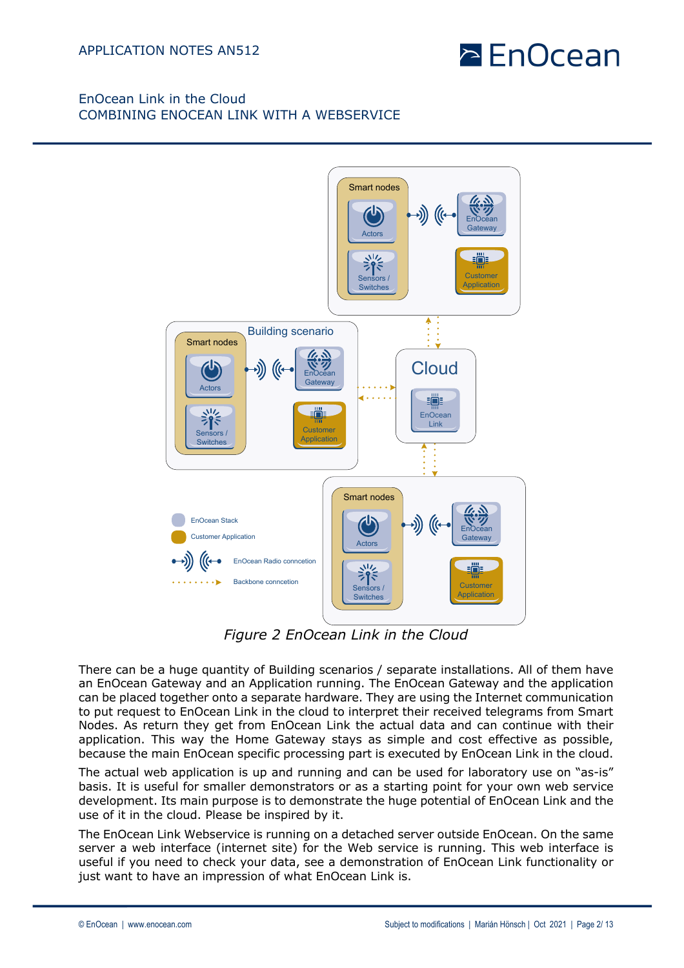



*Figure 2 EnOcean Link in the Cloud*

There can be a huge quantity of Building scenarios / separate installations. All of them have an EnOcean Gateway and an Application running. The EnOcean Gateway and the application can be placed together onto a separate hardware. They are using the Internet communication to put request to EnOcean Link in the cloud to interpret their received telegrams from Smart Nodes. As return they get from EnOcean Link the actual data and can continue with their application. This way the Home Gateway stays as simple and cost effective as possible, because the main EnOcean specific processing part is executed by EnOcean Link in the cloud.

The actual web application is up and running and can be used for laboratory use on "as-is" basis. It is useful for smaller demonstrators or as a starting point for your own web service development. Its main purpose is to demonstrate the huge potential of EnOcean Link and the use of it in the cloud. Please be inspired by it.

The EnOcean Link Webservice is running on a detached server outside EnOcean. On the same server a web interface (internet site) for the Web service is running. This web interface is useful if you need to check your data, see a demonstration of EnOcean Link functionality or just want to have an impression of what EnOcean Link is.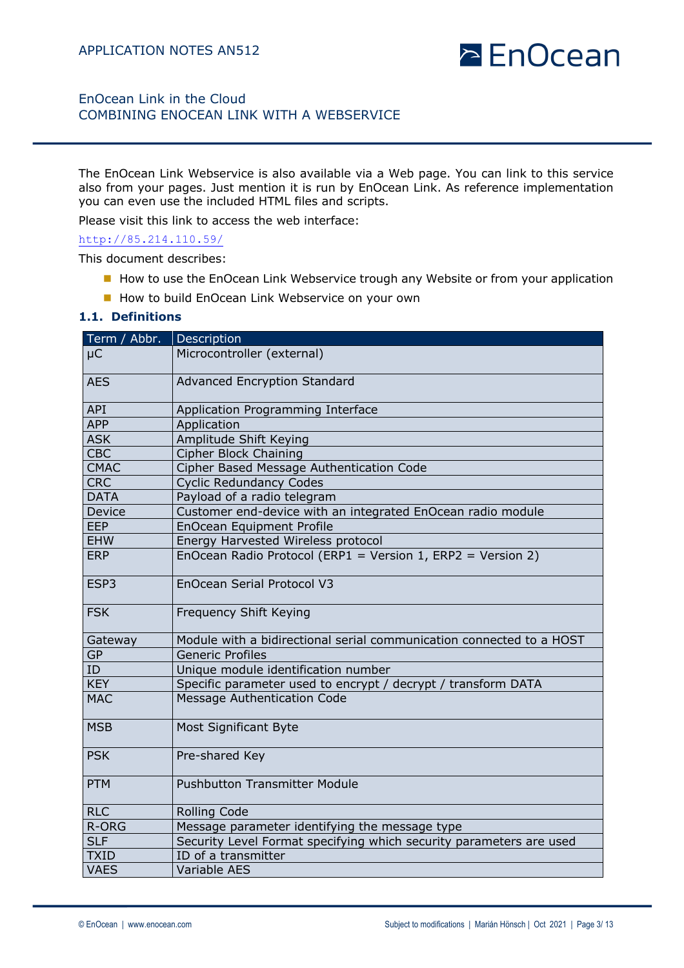# **EnOcean**

# EnOcean Link in the Cloud COMBINING ENOCEAN LINK WITH A WEBSERVICE

The EnOcean Link Webservice is also available via a Web page. You can link to this service also from your pages. Just mention it is run by EnOcean Link. As reference implementation you can even use the included HTML files and scripts.

Please visit this link to access the web interface:

#### http://85.214.110.59/

This document describes:

- How to use the EnOcean Link Webservice trough any Website or from your application
- How to build EnOcean Link Webservice on your own

#### **1.1. Definitions**

| Term / Abbr.  | Description                                                          |  |
|---------------|----------------------------------------------------------------------|--|
| $\mu$ C       | Microcontroller (external)                                           |  |
| <b>AES</b>    | <b>Advanced Encryption Standard</b>                                  |  |
| API           | Application Programming Interface                                    |  |
| <b>APP</b>    | Application                                                          |  |
| <b>ASK</b>    | Amplitude Shift Keying                                               |  |
| <b>CBC</b>    | <b>Cipher Block Chaining</b>                                         |  |
| <b>CMAC</b>   | Cipher Based Message Authentication Code                             |  |
| <b>CRC</b>    | <b>Cyclic Redundancy Codes</b>                                       |  |
| <b>DATA</b>   | Payload of a radio telegram                                          |  |
| <b>Device</b> | Customer end-device with an integrated EnOcean radio module          |  |
| <b>EEP</b>    | <b>EnOcean Equipment Profile</b>                                     |  |
| <b>EHW</b>    | Energy Harvested Wireless protocol                                   |  |
| <b>ERP</b>    | EnOcean Radio Protocol (ERP1 = Version 1, ERP2 = Version 2)          |  |
| ESP3          | EnOcean Serial Protocol V3                                           |  |
| <b>FSK</b>    | Frequency Shift Keying                                               |  |
| Gateway       | Module with a bidirectional serial communication connected to a HOST |  |
| <b>GP</b>     | <b>Generic Profiles</b>                                              |  |
| ID            | Unique module identification number                                  |  |
| <b>KEY</b>    | Specific parameter used to encrypt / decrypt / transform DATA        |  |
| <b>MAC</b>    | <b>Message Authentication Code</b>                                   |  |
| <b>MSB</b>    | <b>Most Significant Byte</b>                                         |  |
| <b>PSK</b>    | Pre-shared Key                                                       |  |
| <b>PTM</b>    | <b>Pushbutton Transmitter Module</b>                                 |  |
| <b>RLC</b>    | <b>Rolling Code</b>                                                  |  |
| R-ORG         | Message parameter identifying the message type                       |  |
| <b>SLF</b>    | Security Level Format specifying which security parameters are used  |  |
| <b>TXID</b>   | ID of a transmitter                                                  |  |
| <b>VAES</b>   | <b>Variable AES</b>                                                  |  |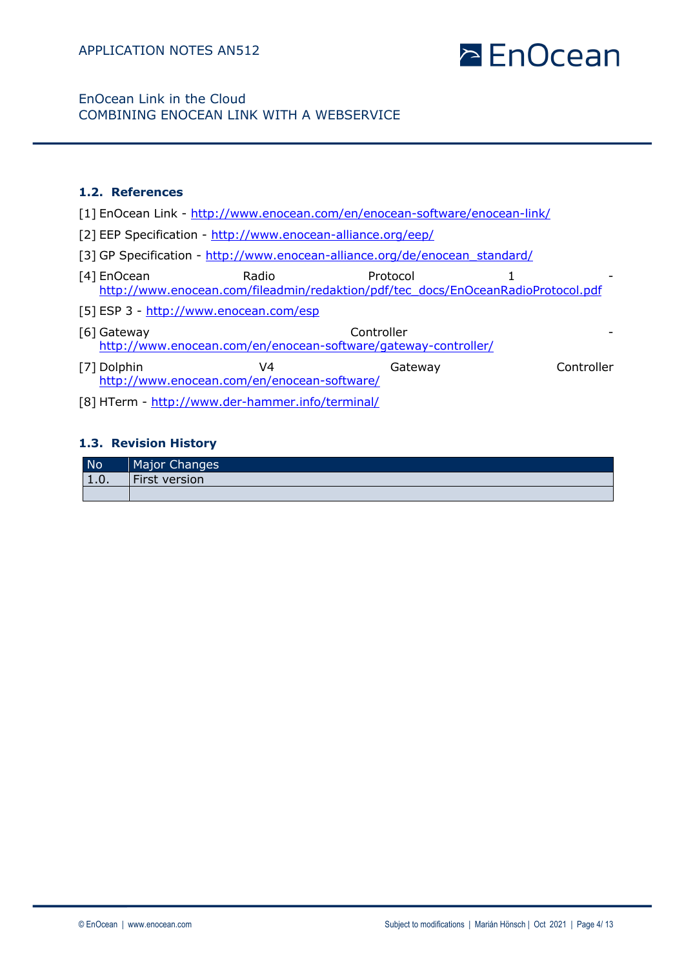EnOcean Link in the Cloud COMBINING ENOCEAN LINK WITH A WEBSERVICE

## **1.2. References**

- [1] EnOcean Link http://www.enocean.com/en/enocean-software/enocean-link/
- [2] EEP Specification http://www.enocean-alliance.org/eep/
- [3] GP Specification http://www.enocean-alliance.org/de/enocean\_standard/
- [4] EnOcean **Radio** Radio **Protocol** 1 http://www.enocean.com/fileadmin/redaktion/pdf/tec\_docs/EnOceanRadioProtocol.pdf
- [5] ESP 3 http://www.enocean.com/esp
- [6] Gateway Controller http://www.enocean.com/en/enocean-software/gateway-controller/
- [7] Dolphin V4 Gateway Controller http://www.enocean.com/en/enocean-software/
- [8] HTerm http://www.der-hammer.info/terminal/

### **1.3. Revision History**

| <b>No</b>   | Major Changes |
|-------------|---------------|
| <b>1.V.</b> | First version |
|             |               |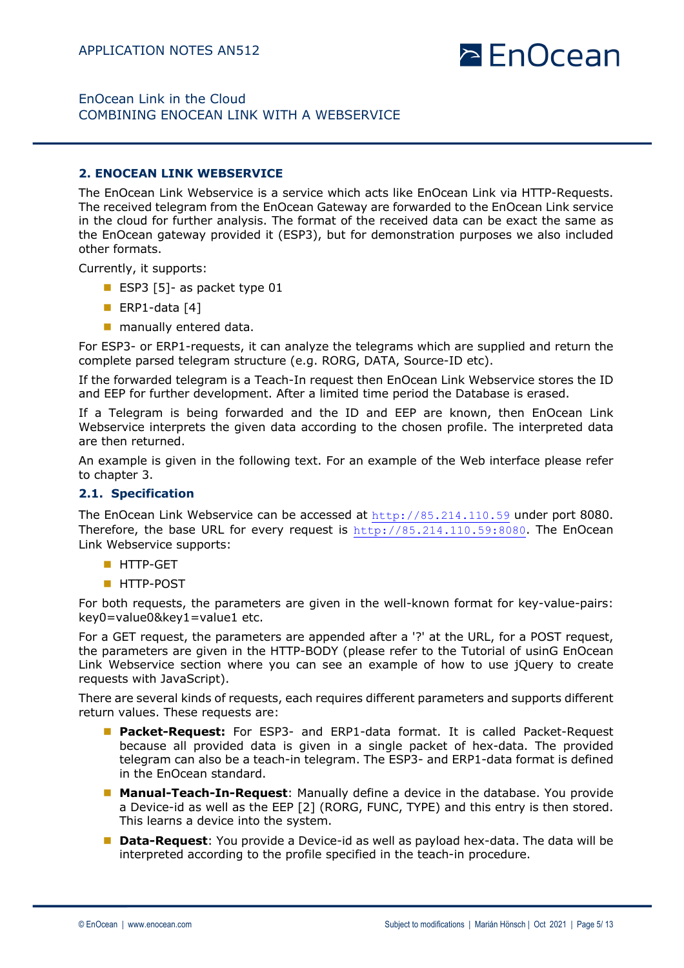### EnOcean Link in the Cloud COMBINING ENOCEAN LINK WITH A WEBSERVICE

#### **2. ENOCEAN LINK WEBSERVICE**

The EnOcean Link Webservice is a service which acts like EnOcean Link via HTTP-Requests. The received telegram from the EnOcean Gateway are forwarded to the EnOcean Link service in the cloud for further analysis. The format of the received data can be exact the same as the EnOcean gateway provided it (ESP3), but for demonstration purposes we also included other formats.

Currently, it supports:

- ESP3  $[5]$  as packet type 01
- ERP1-data  $[4]$
- $\blacksquare$  manually entered data.

For ESP3- or ERP1-requests, it can analyze the telegrams which are supplied and return the complete parsed telegram structure (e.g. RORG, DATA, Source-ID etc).

If the forwarded telegram is a Teach-In request then EnOcean Link Webservice stores the ID and EEP for further development. After a limited time period the Database is erased.

If a Telegram is being forwarded and the ID and EEP are known, then EnOcean Link Webservice interprets the given data according to the chosen profile. The interpreted data are then returned.

An example is given in the following text. For an example of the Web interface please refer to chapter 3.

#### **2.1. Specification**

The EnOcean Link Webservice can be accessed at http://85.214.110.59 under port 8080. Therefore, the base URL for every request is http://85.214.110.59:8080. The EnOcean Link Webservice supports:

- **n** HTTP-GET
- **N** HTTP-POST

For both requests, the parameters are given in the well-known format for key-value-pairs: key0=value0&key1=value1 etc.

For a GET request, the parameters are appended after a '?' at the URL, for a POST request, the parameters are given in the HTTP-BODY (please refer to the Tutorial of usinG EnOcean Link Webservice section where you can see an example of how to use jQuery to create requests with JavaScript).

There are several kinds of requests, each requires different parameters and supports different return values. These requests are:

- **n Packet-Request:** For ESP3- and ERP1-data format. It is called Packet-Request because all provided data is given in a single packet of hex-data. The provided telegram can also be a teach-in telegram. The ESP3- and ERP1-data format is defined in the EnOcean standard.
- **n Manual-Teach-In-Request**: Manually define a device in the database. You provide a Device-id as well as the EEP [2] (RORG, FUNC, TYPE) and this entry is then stored. This learns a device into the system.
- **n Data-Request**: You provide a Device-id as well as payload hex-data. The data will be interpreted according to the profile specified in the teach-in procedure.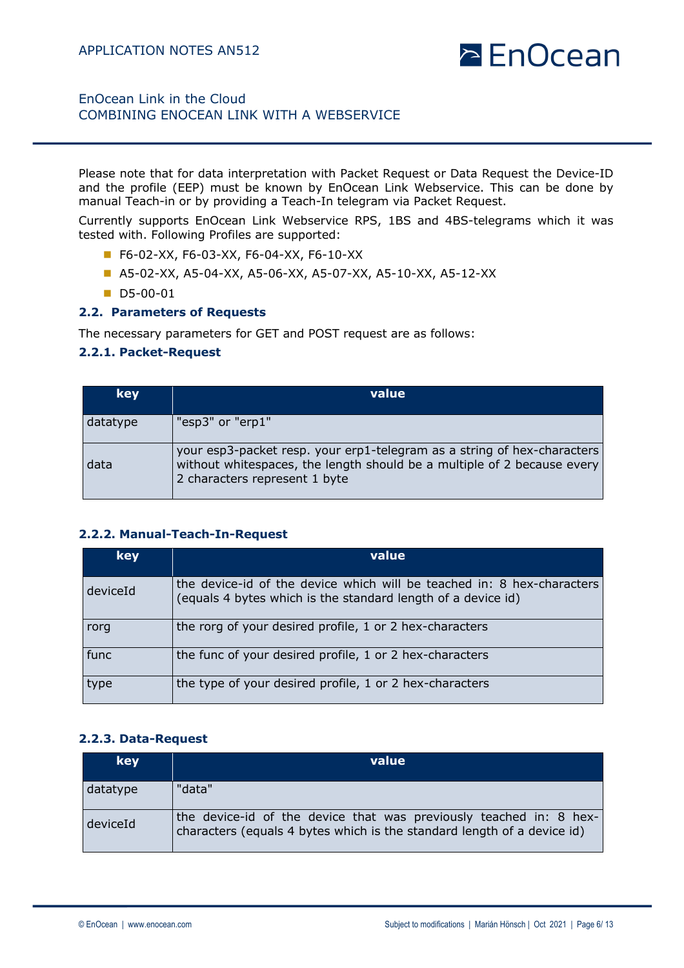# EnOcean Link in the Cloud COMBINING ENOCEAN LINK WITH A WEBSERVICE

Please note that for data interpretation with Packet Request or Data Request the Device-ID and the profile (EEP) must be known by EnOcean Link Webservice. This can be done by manual Teach-in or by providing a Teach-In telegram via Packet Request.

Currently supports EnOcean Link Webservice RPS, 1BS and 4BS-telegrams which it was tested with. Following Profiles are supported:

- F6-02-XX, F6-03-XX, F6-04-XX, F6-10-XX
- A5-02-XX, A5-04-XX, A5-06-XX, A5-07-XX, A5-10-XX, A5-12-XX
- $\blacksquare$  D5-00-01

#### **2.2. Parameters of Requests**

The necessary parameters for GET and POST request are as follows:

#### **2.2.1. Packet-Request**

| key      | value                                                                                                                                                                               |
|----------|-------------------------------------------------------------------------------------------------------------------------------------------------------------------------------------|
| datatype | "esp3" or "erp1"                                                                                                                                                                    |
| data     | your esp3-packet resp. your erp1-telegram as a string of hex-characters<br>without whitespaces, the length should be a multiple of 2 because every<br>2 characters represent 1 byte |

### **2.2.2. Manual-Teach-In-Request**

| key      | value                                                                                                                                  |
|----------|----------------------------------------------------------------------------------------------------------------------------------------|
| deviceId | the device-id of the device which will be teached in: 8 hex-characters<br>(equals 4 bytes which is the standard length of a device id) |
| rorg     | the rorg of your desired profile, 1 or 2 hex-characters                                                                                |
| func     | the func of your desired profile, 1 or 2 hex-characters                                                                                |
| type     | the type of your desired profile, 1 or 2 hex-characters                                                                                |

#### **2.2.3. Data-Request**

| key      | value                                                                                                                                         |
|----------|-----------------------------------------------------------------------------------------------------------------------------------------------|
| datatype | "data"                                                                                                                                        |
| deviceId | the device-id of the device that was previously teached in: 8 hex-<br>characters (equals 4 bytes which is the standard length of a device id) |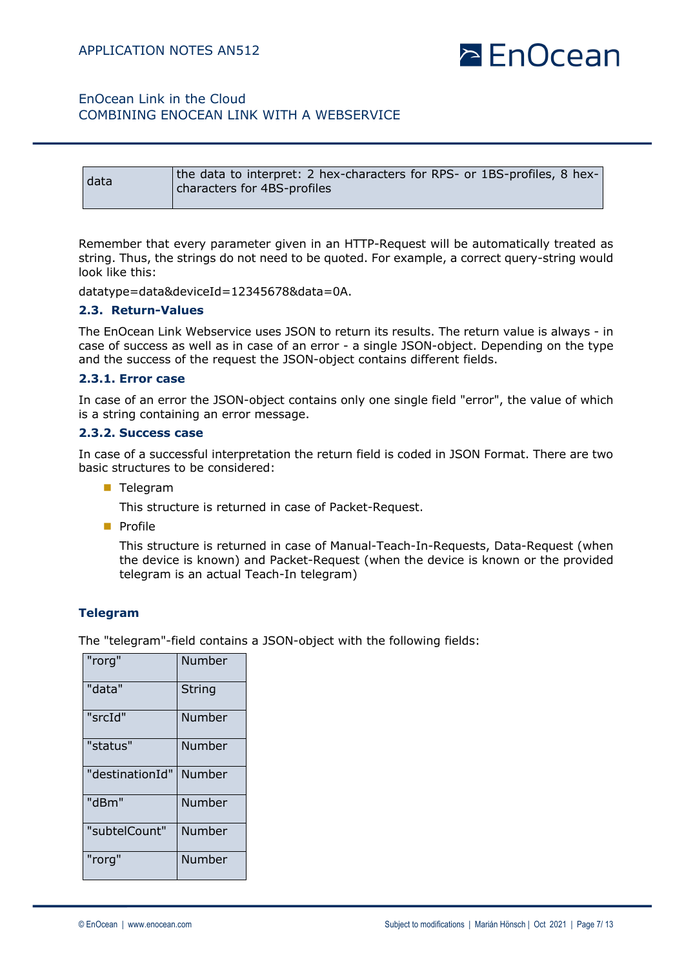# EnOcean Link in the Cloud COMBINING ENOCEAN LINK WITH A WEBSERVICE

| data | the data to interpret: 2 hex-characters for RPS- or 1BS-profiles, 8 hex-<br>characters for 4BS-profiles |
|------|---------------------------------------------------------------------------------------------------------|
|      |                                                                                                         |

Remember that every parameter given in an HTTP-Request will be automatically treated as string. Thus, the strings do not need to be quoted. For example, a correct query-string would look like this:

datatype=data&deviceId=12345678&data=0A.

#### **2.3. Return-Values**

The EnOcean Link Webservice uses JSON to return its results. The return value is always - in case of success as well as in case of an error - a single JSON-object. Depending on the type and the success of the request the JSON-object contains different fields.

#### **2.3.1. Error case**

In case of an error the JSON-object contains only one single field "error", the value of which is a string containing an error message.

#### **2.3.2. Success case**

In case of a successful interpretation the return field is coded in JSON Format. There are two basic structures to be considered:

**n** Telegram

This structure is returned in case of Packet-Request.

**n** Profile

This structure is returned in case of Manual-Teach-In-Requests, Data-Request (when the device is known) and Packet-Request (when the device is known or the provided telegram is an actual Teach-In telegram)

### **Telegram**

The "telegram"-field contains a JSON-object with the following fields:

| "rorg"          | Number |
|-----------------|--------|
| "data"          | String |
| "srcId"         | Number |
| "status"        | Number |
| "destinationId" | Number |
| "dBm"           | Number |
| "subtelCount"   | Number |
| "rorg"          | Number |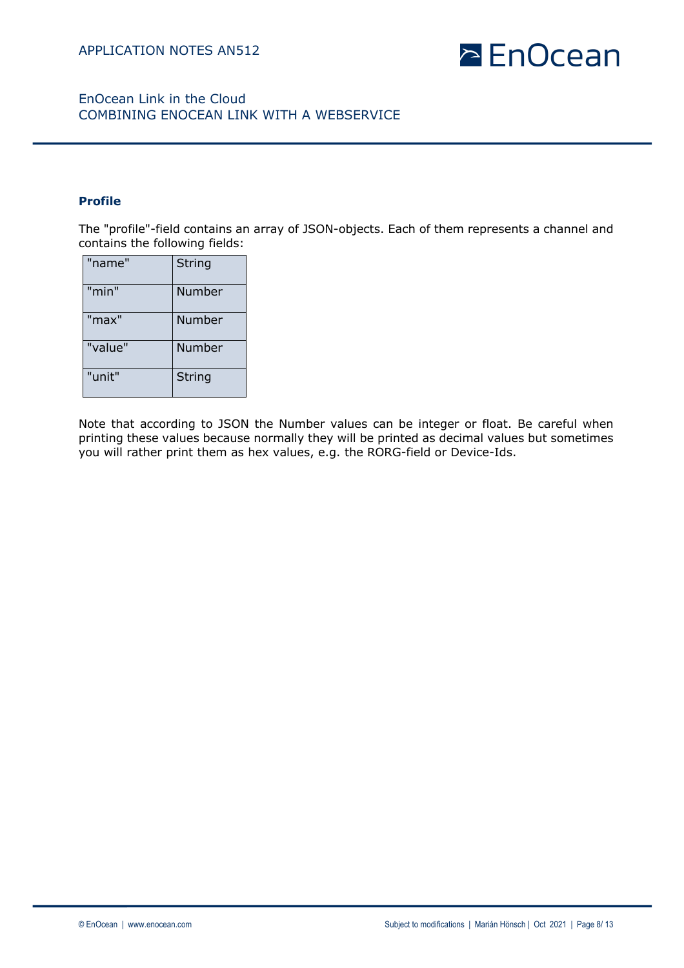

### **Profile**

The "profile"-field contains an array of JSON-objects. Each of them represents a channel and contains the following fields:

| "name"  | <b>String</b> |
|---------|---------------|
| "min"   | Number        |
| "max"   | Number        |
| "value" | Number        |
| "unit"  | <b>String</b> |

Note that according to JSON the Number values can be integer or float. Be careful when printing these values because normally they will be printed as decimal values but sometimes you will rather print them as hex values, e.g. the RORG-field or Device-Ids.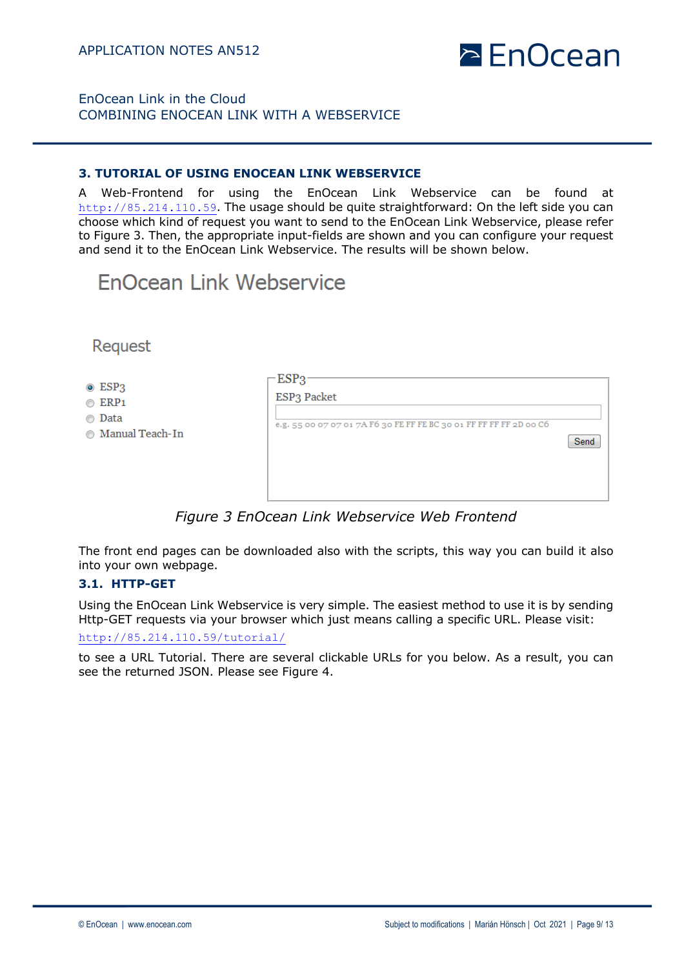

#### **3. TUTORIAL OF USING ENOCEAN LINK WEBSERVICE**

A Web-Frontend for using the EnOcean Link Webservice can be found at http://85.214.110.59. The usage should be quite straightforward: On the left side you can choose which kind of request you want to send to the EnOcean Link Webservice, please refer to Figure 3. Then, the appropriate input-fields are shown and you can configure your request and send it to the EnOcean Link Webservice. The results will be shown below.

# **EnOcean Link Webservice**

Request

- $\odot$  ESP3
- $\circ$  ERP1
- **Data**
- **Manual Teach-In**

| e.g. 55 00 07 07 01 7A F6 30 FE FF FE BC 30 01 FF FF FF FF 2D 00 C6 |                   |
|---------------------------------------------------------------------|-------------------|
|                                                                     | Send <sup>2</sup> |
|                                                                     |                   |
|                                                                     |                   |

*Figure 3 EnOcean Link Webservice Web Frontend*

The front end pages can be downloaded also with the scripts, this way you can build it also into your own webpage.

#### **3.1. HTTP-GET**

Using the EnOcean Link Webservice is very simple. The easiest method to use it is by sending Http-GET requests via your browser which just means calling a specific URL. Please visit: http://85.214.110.59/tutorial/

to see a URL Tutorial. There are several clickable URLs for you below. As a result, you can see the returned JSON. Please see Figure 4.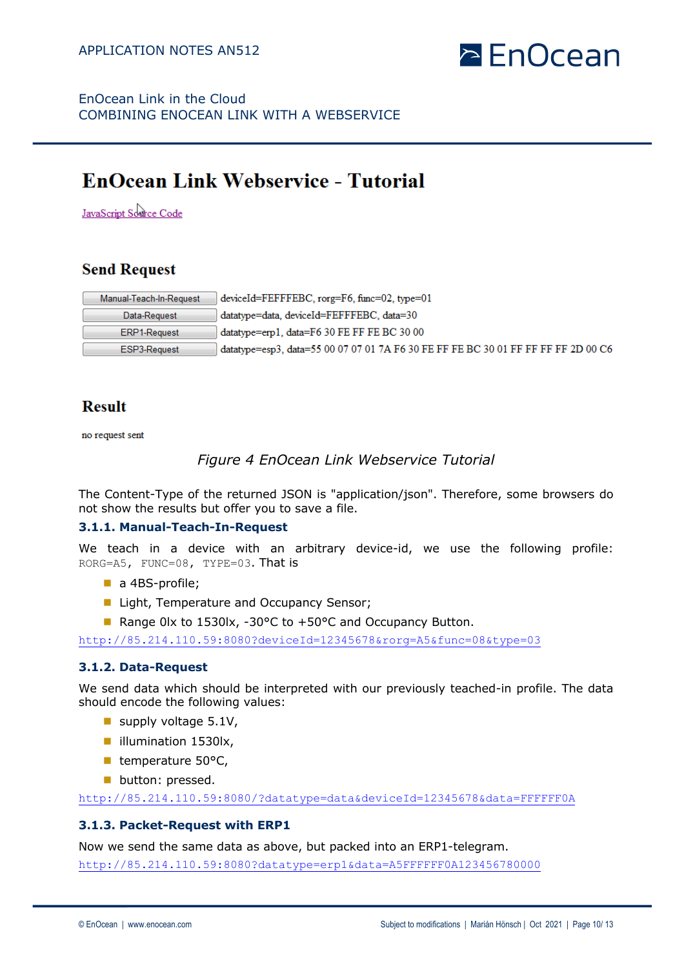

# **EnOcean Link Webservice - Tutorial**

JavaScript Source Code

# **Send Request**

| Manual-Teach-In-Request | $deviceld = FEFFFEEC, rorge = F6, func = 02, type = 01$                            |
|-------------------------|------------------------------------------------------------------------------------|
| Data-Request            | datatype=data, deviceId=FEFFFEBC, data=30                                          |
| ERP1-Request            | $datatype=erp1$ , $data=FG 30 FE FF FE BC 30 00$                                   |
| ESP3-Request            | datatype=esp3, data=55 00 07 07 01 7A F6 30 FE FF FE BC 30 01 FF FF FF FF 2D 00 C6 |

# **Result**

no request sent

# *Figure 4 EnOcean Link Webservice Tutorial*

The Content-Type of the returned JSON is "application/json". Therefore, some browsers do not show the results but offer you to save a file.

### **3.1.1. Manual-Teach-In-Request**

We teach in a device with an arbitrary device-id, we use the following profile: RORG=A5, FUNC=08, TYPE=03. That is

- $\blacksquare$  a 4BS-profile;
- Light, Temperature and Occupancy Sensor;
- Range 0lx to 1530lx, -30°C to +50°C and Occupancy Button.

http://85.214.110.59:8080?deviceId=12345678&rorg=A5&func=08&type=03

### **3.1.2. Data-Request**

We send data which should be interpreted with our previously teached-in profile. The data should encode the following values:

- supply voltage  $5.1V$ ,
- lilumination 1530lx,
- $\blacksquare$  temperature 50 $\textdegree$ C,
- **n** button: pressed.

http://85.214.110.59:8080/?datatype=data&deviceId=12345678&data=FFFFFF0A

### **3.1.3. Packet-Request with ERP1**

Now we send the same data as above, but packed into an ERP1-telegram. http://85.214.110.59:8080?datatype=erp1&data=A5FFFFFF0A123456780000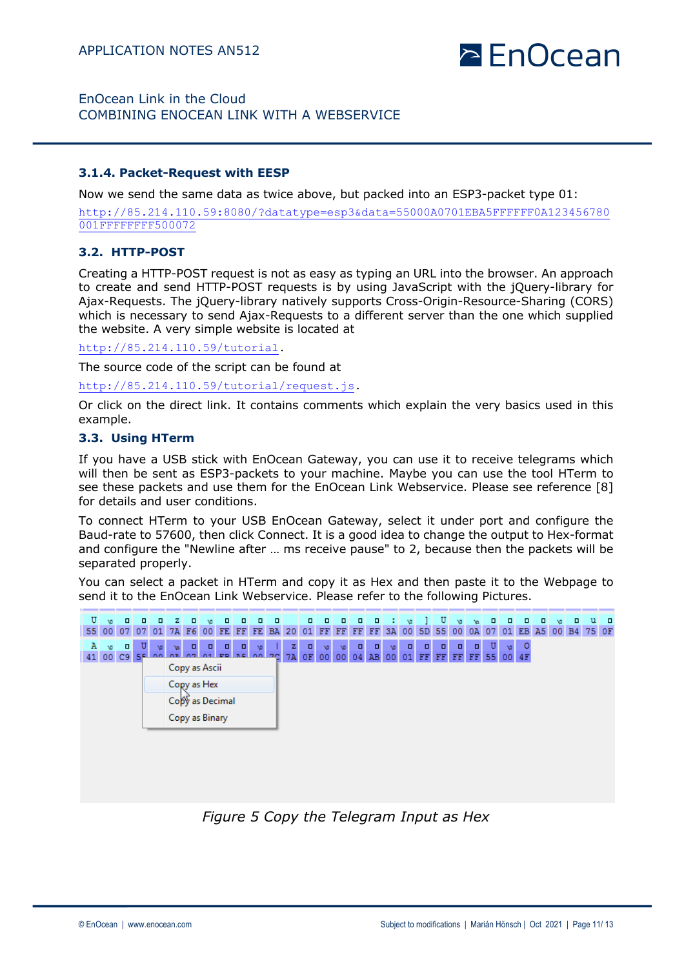# **PEnOcean**

## EnOcean Link in the Cloud COMBINING ENOCEAN LINK WITH A WEBSERVICE

#### **3.1.4. Packet-Request with EESP**

Now we send the same data as twice above, but packed into an ESP3-packet type 01:

http://85.214.110.59:8080/?datatype=esp3&data=55000A0701EBA5FFFFFF0A123456780 001FFFFFFFF500072

### **3.2. HTTP-POST**

Creating a HTTP-POST request is not as easy as typing an URL into the browser. An approach to create and send HTTP-POST requests is by using JavaScript with the jQuery-library for Ajax-Requests. The jQuery-library natively supports Cross-Origin-Resource-Sharing (CORS) which is necessary to send Ajax-Requests to a different server than the one which supplied the website. A very simple website is located at

http://85.214.110.59/tutorial.

The source code of the script can be found at

http://85.214.110.59/tutorial/request.js.

Or click on the direct link. It contains comments which explain the very basics used in this example.

#### **3.3. Using HTerm**

If you have a USB stick with EnOcean Gateway, you can use it to receive telegrams which will then be sent as ESP3-packets to your machine. Maybe you can use the tool HTerm to see these packets and use them for the EnOcean Link Webservice. Please see reference [8] for details and user conditions.

To connect HTerm to your USB EnOcean Gateway, select it under port and configure the Baud-rate to 57600, then click Connect. It is a good idea to change the output to Hex-format and configure the "Newline after … ms receive pause" to 2, because then the packets will be separated properly.

You can select a packet in HTerm and copy it as Hex and then paste it to the Webpage to send it to the EnOcean Link Webservice. Please refer to the following Pictures.



*Figure 5 Copy the Telegram Input as Hex*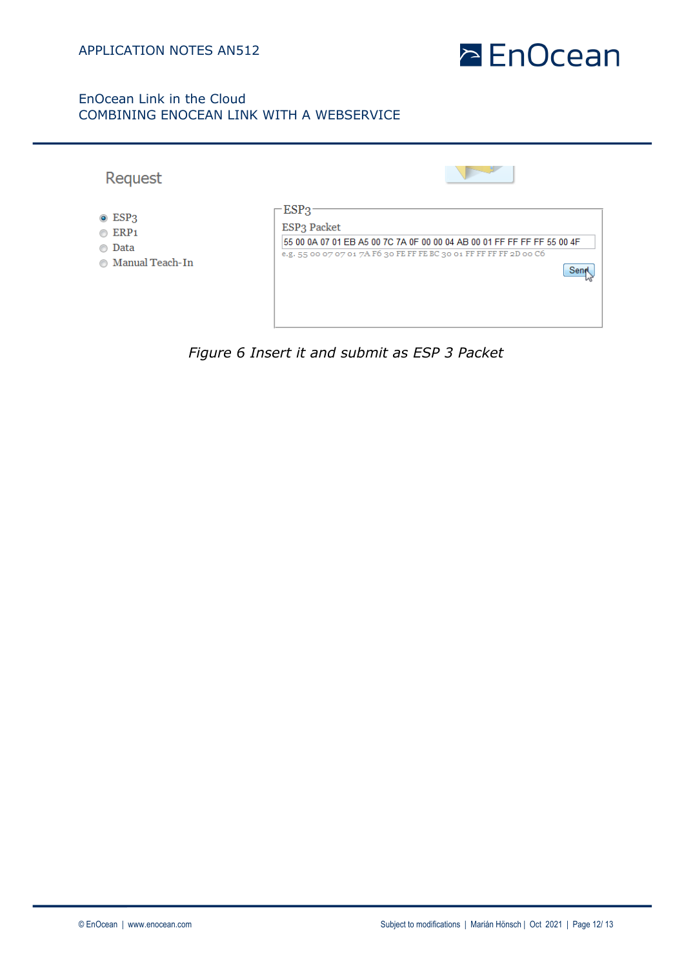

| Request                  |                                                                         |
|--------------------------|-------------------------------------------------------------------------|
| $\odot$ ESP3             | $-$ ESP3                                                                |
| $\circ$ ERP1             | ESP <sub>3</sub> Packet                                                 |
| Data                     | 55 00 0A 07 01 EB A5 00 7C 7A 0F 00 00 04 AB 00 01 FF FF FF FF 55 00 4F |
| ⋒                        | e.g. 55 00 07 07 01 7A F6 30 FE FF FE BC 30 01 FF FF FF FF 2D 00 C6     |
| <b>6</b> Manual Teach-In | Sen                                                                     |

*Figure 6 Insert it and submit as ESP 3 Packet*